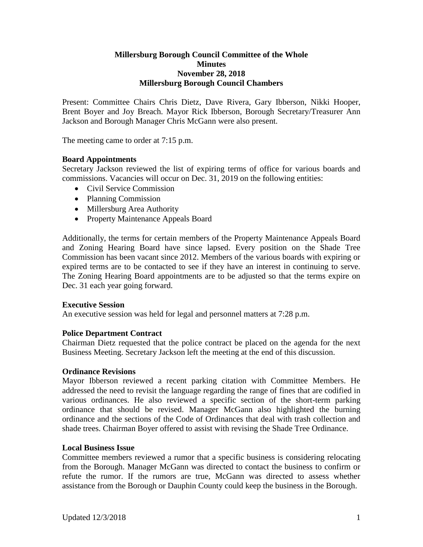### **Millersburg Borough Council Committee of the Whole Minutes November 28, 2018 Millersburg Borough Council Chambers**

Present: Committee Chairs Chris Dietz, Dave Rivera, Gary Ibberson, Nikki Hooper, Brent Boyer and Joy Breach. Mayor Rick Ibberson, Borough Secretary/Treasurer Ann Jackson and Borough Manager Chris McGann were also present.

The meeting came to order at 7:15 p.m.

### **Board Appointments**

Secretary Jackson reviewed the list of expiring terms of office for various boards and commissions. Vacancies will occur on Dec. 31, 2019 on the following entities:

- Civil Service Commission
- Planning Commission
- Millersburg Area Authority
- Property Maintenance Appeals Board

Additionally, the terms for certain members of the Property Maintenance Appeals Board and Zoning Hearing Board have since lapsed. Every position on the Shade Tree Commission has been vacant since 2012. Members of the various boards with expiring or expired terms are to be contacted to see if they have an interest in continuing to serve. The Zoning Hearing Board appointments are to be adjusted so that the terms expire on Dec. 31 each year going forward.

### **Executive Session**

An executive session was held for legal and personnel matters at 7:28 p.m.

### **Police Department Contract**

Chairman Dietz requested that the police contract be placed on the agenda for the next Business Meeting. Secretary Jackson left the meeting at the end of this discussion.

### **Ordinance Revisions**

Mayor Ibberson reviewed a recent parking citation with Committee Members. He addressed the need to revisit the language regarding the range of fines that are codified in various ordinances. He also reviewed a specific section of the short-term parking ordinance that should be revised. Manager McGann also highlighted the burning ordinance and the sections of the Code of Ordinances that deal with trash collection and shade trees. Chairman Boyer offered to assist with revising the Shade Tree Ordinance.

### **Local Business Issue**

Committee members reviewed a rumor that a specific business is considering relocating from the Borough. Manager McGann was directed to contact the business to confirm or refute the rumor. If the rumors are true, McGann was directed to assess whether assistance from the Borough or Dauphin County could keep the business in the Borough.